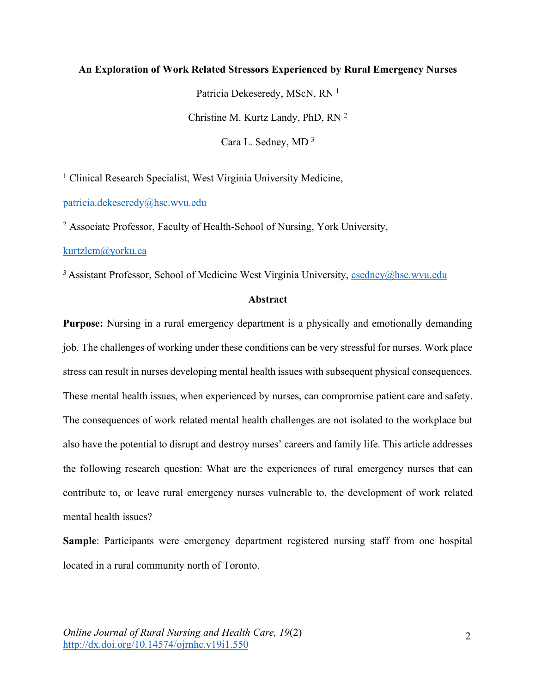# **An Exploration of Work Related Stressors Experienced by Rural Emergency Nurses**

Patricia Dekeseredy, MScN, RN<sup>1</sup> Christine M. Kurtz Landy, PhD, RN 2 Cara L. Sedney, MD 3

<sup>1</sup> Clinical Research Specialist, West Virginia University Medicine.

patricia.dekeseredy@hsc.wvu.edu

<sup>2</sup> Associate Professor, Faculty of Health-School of Nursing, York University,

kurtzlcm@yorku.ca

 $3$  Assistant Professor, School of Medicine West Virginia University, csedney@hsc.wvu.edu

# **Abstract**

**Purpose:** Nursing in a rural emergency department is a physically and emotionally demanding job. The challenges of working under these conditions can be very stressful for nurses. Work place stress can result in nurses developing mental health issues with subsequent physical consequences. These mental health issues, when experienced by nurses, can compromise patient care and safety. The consequences of work related mental health challenges are not isolated to the workplace but also have the potential to disrupt and destroy nurses' careers and family life. This article addresses the following research question: What are the experiences of rural emergency nurses that can contribute to, or leave rural emergency nurses vulnerable to, the development of work related mental health issues?

**Sample**: Participants were emergency department registered nursing staff from one hospital located in a rural community north of Toronto.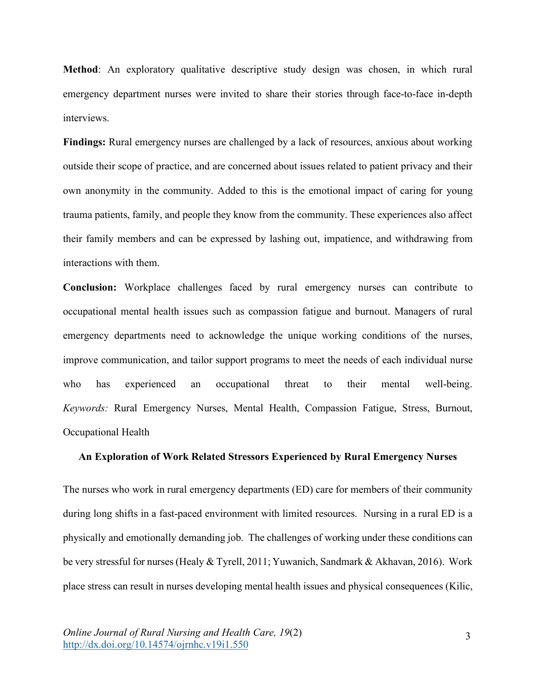**Method**: An exploratory qualitative descriptive study design was chosen, in which rural emergency department nurses were invited to share their stories through face-to-face in-depth interviews.

**Findings:** Rural emergency nurses are challenged by a lack of resources, anxious about working outside their scope of practice, and are concerned about issues related to patient privacy and their own anonymity in the community. Added to this is the emotional impact of caring for young trauma patients, family, and people they know from the community. These experiences also affect their family members and can be expressed by lashing out, impatience, and withdrawing from interactions with them.

**Conclusion:** Workplace challenges faced by rural emergency nurses can contribute to occupational mental health issues such as compassion fatigue and burnout. Managers of rural emergency departments need to acknowledge the unique working conditions of the nurses, improve communication, and tailor support programs to meet the needs of each individual nurse who has experienced an occupational threat to their mental well-being. *Keywords:* Rural Emergency Nurses, Mental Health, Compassion Fatigue, Stress, Burnout, Occupational Health

## **An Exploration of Work Related Stressors Experienced by Rural Emergency Nurses**

The nurses who work in rural emergency departments (ED) care for members of their community during long shifts in a fast-paced environment with limited resources. Nursing in a rural ED is a physically and emotionally demanding job. The challenges of working under these conditions can be very stressful for nurses (Healy & Tyrell, 2011; Yuwanich, Sandmark & Akhavan, 2016). Work place stress can result in nurses developing mental health issues and physical consequences (Kilic,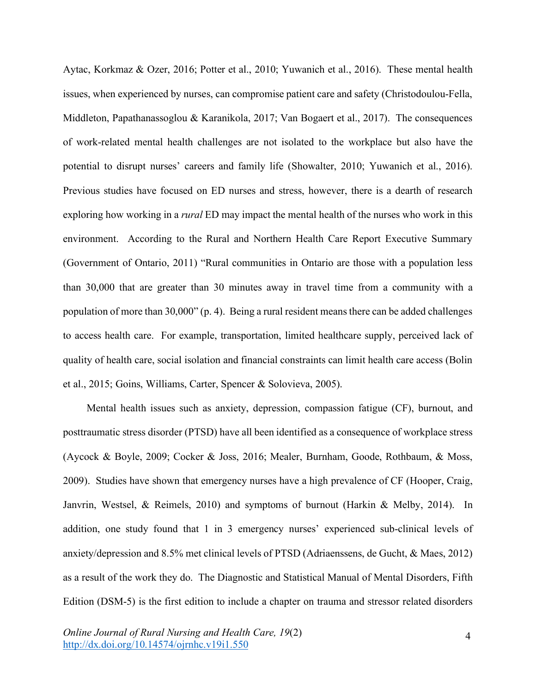Aytac, Korkmaz & Ozer, 2016; Potter et al., 2010; Yuwanich et al., 2016). These mental health issues, when experienced by nurses, can compromise patient care and safety (Christodoulou-Fella, Middleton, Papathanassoglou & Karanikola, 2017; Van Bogaert et al., 2017). The consequences of work-related mental health challenges are not isolated to the workplace but also have the potential to disrupt nurses' careers and family life (Showalter, 2010; Yuwanich et al., 2016). Previous studies have focused on ED nurses and stress, however, there is a dearth of research exploring how working in a *rural* ED may impact the mental health of the nurses who work in this environment. According to the Rural and Northern Health Care Report Executive Summary (Government of Ontario, 2011) "Rural communities in Ontario are those with a population less than 30,000 that are greater than 30 minutes away in travel time from a community with a population of more than 30,000" (p. 4). Being a rural resident means there can be added challenges to access health care. For example, transportation, limited healthcare supply, perceived lack of quality of health care, social isolation and financial constraints can limit health care access (Bolin et al., 2015; Goins, Williams, Carter, Spencer & Solovieva, 2005).

Mental health issues such as anxiety, depression, compassion fatigue (CF), burnout, and posttraumatic stress disorder (PTSD) have all been identified as a consequence of workplace stress (Aycock & Boyle, 2009; Cocker & Joss, 2016; Mealer, Burnham, Goode, Rothbaum, & Moss, 2009). Studies have shown that emergency nurses have a high prevalence of CF (Hooper, Craig, Janvrin, Westsel, & Reimels, 2010) and symptoms of burnout (Harkin & Melby, 2014). In addition, one study found that 1 in 3 emergency nurses' experienced sub-clinical levels of anxiety/depression and 8.5% met clinical levels of PTSD (Adriaenssens, de Gucht, & Maes, 2012) as a result of the work they do. The Diagnostic and Statistical Manual of Mental Disorders, Fifth Edition (DSM-5) is the first edition to include a chapter on trauma and stressor related disorders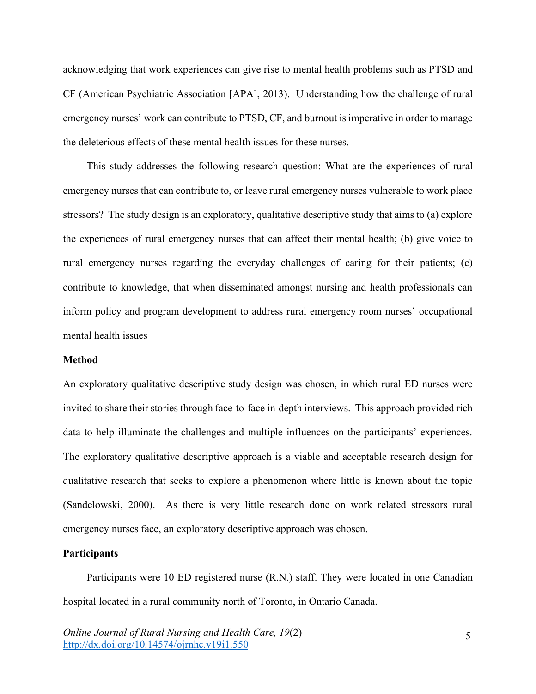acknowledging that work experiences can give rise to mental health problems such as PTSD and CF (American Psychiatric Association [APA], 2013). Understanding how the challenge of rural emergency nurses' work can contribute to PTSD, CF, and burnout is imperative in order to manage the deleterious effects of these mental health issues for these nurses.

This study addresses the following research question: What are the experiences of rural emergency nurses that can contribute to, or leave rural emergency nurses vulnerable to work place stressors? The study design is an exploratory, qualitative descriptive study that aims to (a) explore the experiences of rural emergency nurses that can affect their mental health; (b) give voice to rural emergency nurses regarding the everyday challenges of caring for their patients; (c) contribute to knowledge, that when disseminated amongst nursing and health professionals can inform policy and program development to address rural emergency room nurses' occupational mental health issues

# **Method**

An exploratory qualitative descriptive study design was chosen, in which rural ED nurses were invited to share their stories through face-to-face in-depth interviews. This approach provided rich data to help illuminate the challenges and multiple influences on the participants' experiences. The exploratory qualitative descriptive approach is a viable and acceptable research design for qualitative research that seeks to explore a phenomenon where little is known about the topic (Sandelowski, 2000). As there is very little research done on work related stressors rural emergency nurses face, an exploratory descriptive approach was chosen.

## **Participants**

Participants were 10 ED registered nurse (R.N.) staff. They were located in one Canadian hospital located in a rural community north of Toronto, in Ontario Canada.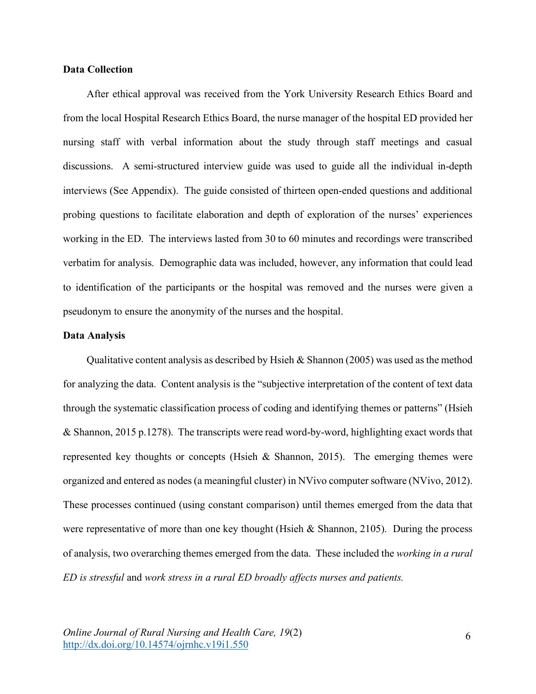# **Data Collection**

After ethical approval was received from the York University Research Ethics Board and from the local Hospital Research Ethics Board, the nurse manager of the hospital ED provided her nursing staff with verbal information about the study through staff meetings and casual discussions. A semi-structured interview guide was used to guide all the individual in-depth interviews (See Appendix). The guide consisted of thirteen open-ended questions and additional probing questions to facilitate elaboration and depth of exploration of the nurses' experiences working in the ED. The interviews lasted from 30 to 60 minutes and recordings were transcribed verbatim for analysis. Demographic data was included, however, any information that could lead to identification of the participants or the hospital was removed and the nurses were given a pseudonym to ensure the anonymity of the nurses and the hospital.

# **Data Analysis**

Qualitative content analysis as described by Hsieh & Shannon (2005) was used as the method for analyzing the data. Content analysis is the "subjective interpretation of the content of text data through the systematic classification process of coding and identifying themes or patterns" (Hsieh & Shannon, 2015 p.1278). The transcripts were read word-by-word, highlighting exact words that represented key thoughts or concepts (Hsieh  $\&$  Shannon, 2015). The emerging themes were organized and entered as nodes (a meaningful cluster) in NVivo computer software (NVivo, 2012). These processes continued (using constant comparison) until themes emerged from the data that were representative of more than one key thought (Hsieh & Shannon, 2105). During the process of analysis, two overarching themes emerged from the data. These included the *working in a rural ED is stressful* and *work stress in a rural ED broadly affects nurses and patients.*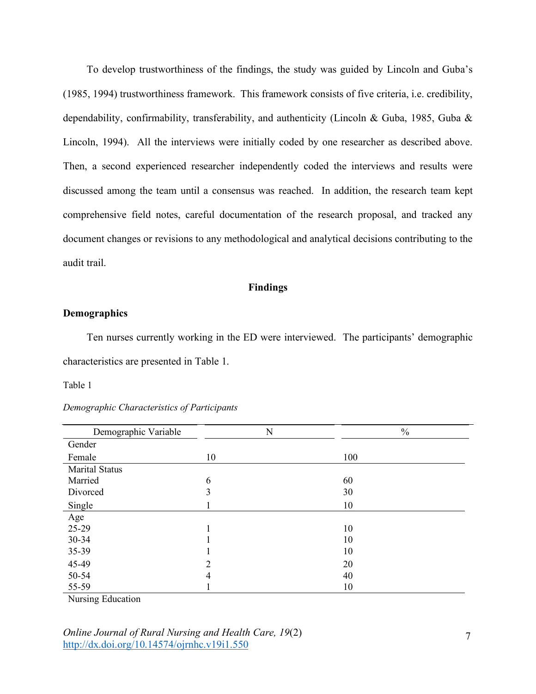To develop trustworthiness of the findings, the study was guided by Lincoln and Guba's (1985, 1994) trustworthiness framework. This framework consists of five criteria, i.e. credibility, dependability, confirmability, transferability, and authenticity (Lincoln & Guba, 1985, Guba & Lincoln, 1994). All the interviews were initially coded by one researcher as described above. Then, a second experienced researcher independently coded the interviews and results were discussed among the team until a consensus was reached. In addition, the research team kept comprehensive field notes, careful documentation of the research proposal, and tracked any document changes or revisions to any methodological and analytical decisions contributing to the audit trail.

# **Findings**

## **Demographics**

Ten nurses currently working in the ED were interviewed. The participants' demographic characteristics are presented in Table 1.

### Table 1

| Demographic Variable  | N              | $\frac{0}{0}$ |
|-----------------------|----------------|---------------|
| Gender                |                |               |
| Female                | 10             | 100           |
| <b>Marital Status</b> |                |               |
| Married               | 6              | 60            |
| Divorced              | 3              | 30            |
| Single                |                | 10            |
| Age                   |                |               |
| 25-29                 | 1              | 10            |
| 30-34                 |                | 10            |
| 35-39                 |                | 10            |
| 45-49                 | $\overline{2}$ | 20            |
| 50-54                 | 4              | 40            |
| 55-59                 |                | 10            |

|  | Demographic Characteristics of Participants |  |  |
|--|---------------------------------------------|--|--|
|--|---------------------------------------------|--|--|

Nursing Education

*Online Journal of Rural Nursing and Health Care, 19*(2) http://dx.doi.org/10.14574/ojrnhc.v19i1.550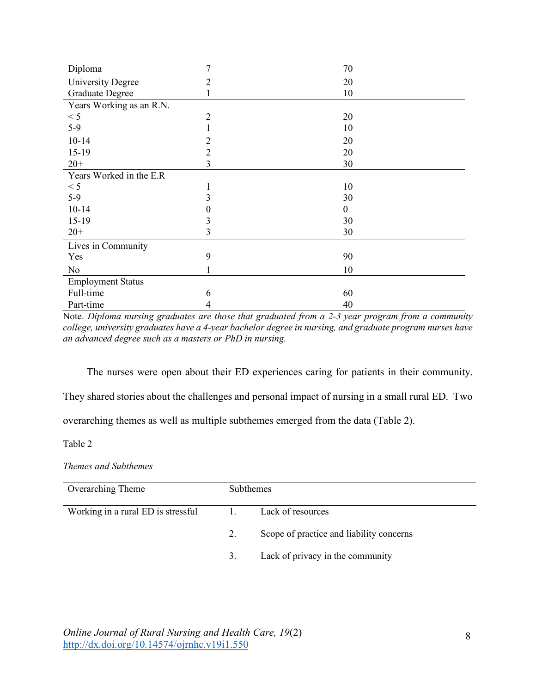| Diploma                  | 7      | 70 |
|--------------------------|--------|----|
| <b>University Degree</b> | 2      | 20 |
| <b>Graduate Degree</b>   |        | 10 |
| Years Working as an R.N. |        |    |
| < 5                      | 2      | 20 |
| $5-9$                    |        | 10 |
| $10 - 14$                | 2      | 20 |
| $15-19$                  | 2      | 20 |
| $20+$                    | 3      | 30 |
| Years Worked in the E.R  |        |    |
| < 5                      |        | 10 |
| $5-9$                    | 3      | 30 |
| $10 - 14$                | $_{0}$ | 0  |
| $15-19$                  | 3      | 30 |
| $20+$                    | 3      | 30 |
| Lives in Community       |        |    |
| Yes                      | 9      | 90 |
| N <sub>0</sub>           |        | 10 |
| <b>Employment Status</b> |        |    |
| Full-time                | 6      | 60 |
| Part-time                | 4      | 40 |

Note. *Diploma nursing graduates are those that graduated from a 2-3 year program from a community college, university graduates have a 4-year bachelor degree in nursing, and graduate program nurses have an advanced degree such as a masters or PhD in nursing.*

The nurses were open about their ED experiences caring for patients in their community.

They shared stories about the challenges and personal impact of nursing in a small rural ED. Two

overarching themes as well as multiple subthemes emerged from the data (Table 2).

Table 2

*Themes and Subthemes*

| Overarching Theme                  | <b>Subthemes</b> |                                          |
|------------------------------------|------------------|------------------------------------------|
| Working in a rural ED is stressful | $\mathbf{1}$ .   | Lack of resources                        |
|                                    | 2.               | Scope of practice and liability concerns |
|                                    | 3.               | Lack of privacy in the community         |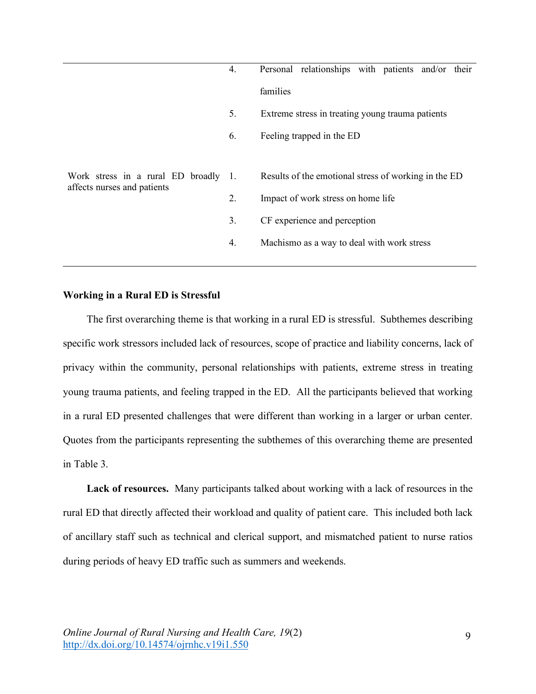|                                                                     | 4. | Personal relationships with patients and/or their    |  |  |
|---------------------------------------------------------------------|----|------------------------------------------------------|--|--|
|                                                                     |    | families                                             |  |  |
|                                                                     | 5. | Extreme stress in treating young trauma patients     |  |  |
|                                                                     | 6. | Feeling trapped in the ED                            |  |  |
|                                                                     |    |                                                      |  |  |
| Work stress in a rural ED broadly 1.<br>affects nurses and patients |    | Results of the emotional stress of working in the ED |  |  |
|                                                                     | 2. | Impact of work stress on home life                   |  |  |
|                                                                     | 3. | CF experience and perception                         |  |  |
|                                                                     | 4. | Machismo as a way to deal with work stress           |  |  |
|                                                                     |    |                                                      |  |  |

# **Working in a Rural ED is Stressful**

The first overarching theme is that working in a rural ED is stressful. Subthemes describing specific work stressors included lack of resources, scope of practice and liability concerns, lack of privacy within the community, personal relationships with patients, extreme stress in treating young trauma patients, and feeling trapped in the ED. All the participants believed that working in a rural ED presented challenges that were different than working in a larger or urban center. Quotes from the participants representing the subthemes of this overarching theme are presented in Table 3.

**Lack of resources.** Many participants talked about working with a lack of resources in the rural ED that directly affected their workload and quality of patient care. This included both lack of ancillary staff such as technical and clerical support, and mismatched patient to nurse ratios during periods of heavy ED traffic such as summers and weekends.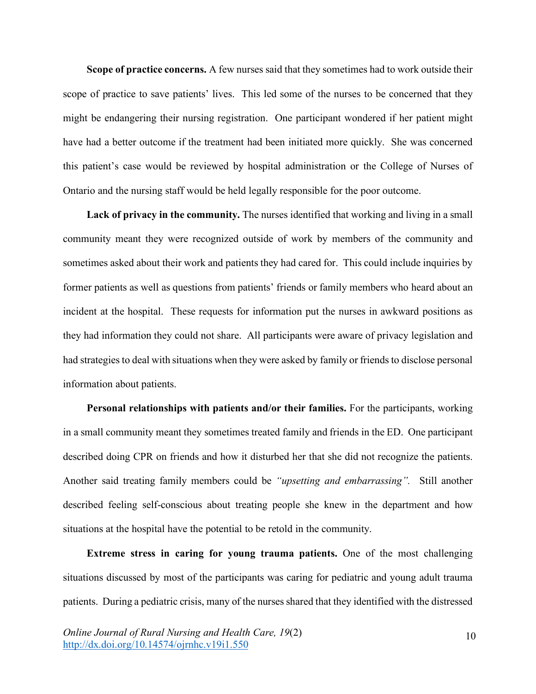**Scope of practice concerns.** A few nurses said that they sometimes had to work outside their scope of practice to save patients' lives. This led some of the nurses to be concerned that they might be endangering their nursing registration. One participant wondered if her patient might have had a better outcome if the treatment had been initiated more quickly. She was concerned this patient's case would be reviewed by hospital administration or the College of Nurses of Ontario and the nursing staff would be held legally responsible for the poor outcome.

**Lack of privacy in the community.** The nurses identified that working and living in a small community meant they were recognized outside of work by members of the community and sometimes asked about their work and patients they had cared for. This could include inquiries by former patients as well as questions from patients' friends or family members who heard about an incident at the hospital. These requests for information put the nurses in awkward positions as they had information they could not share. All participants were aware of privacy legislation and had strategies to deal with situations when they were asked by family or friends to disclose personal information about patients.

**Personal relationships with patients and/or their families.** For the participants, working in a small community meant they sometimes treated family and friends in the ED. One participant described doing CPR on friends and how it disturbed her that she did not recognize the patients. Another said treating family members could be *"upsetting and embarrassing".* Still another described feeling self-conscious about treating people she knew in the department and how situations at the hospital have the potential to be retold in the community.

**Extreme stress in caring for young trauma patients.** One of the most challenging situations discussed by most of the participants was caring for pediatric and young adult trauma patients. During a pediatric crisis, many of the nurses shared that they identified with the distressed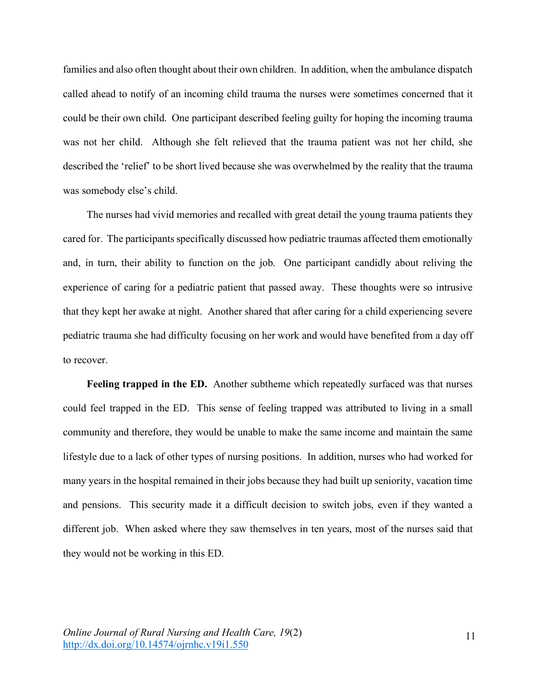families and also often thought about their own children. In addition, when the ambulance dispatch called ahead to notify of an incoming child trauma the nurses were sometimes concerned that it could be their own child. One participant described feeling guilty for hoping the incoming trauma was not her child. Although she felt relieved that the trauma patient was not her child, she described the 'relief' to be short lived because she was overwhelmed by the reality that the trauma was somebody else's child.

The nurses had vivid memories and recalled with great detail the young trauma patients they cared for. The participants specifically discussed how pediatric traumas affected them emotionally and, in turn, their ability to function on the job. One participant candidly about reliving the experience of caring for a pediatric patient that passed away. These thoughts were so intrusive that they kept her awake at night.Another shared that after caring for a child experiencing severe pediatric trauma she had difficulty focusing on her work and would have benefited from a day off to recover.

**Feeling trapped in the ED.** Another subtheme which repeatedly surfaced was that nurses could feel trapped in the ED. This sense of feeling trapped was attributed to living in a small community and therefore, they would be unable to make the same income and maintain the same lifestyle due to a lack of other types of nursing positions. In addition, nurses who had worked for many years in the hospital remained in their jobs because they had built up seniority, vacation time and pensions. This security made it a difficult decision to switch jobs, even if they wanted a different job. When asked where they saw themselves in ten years, most of the nurses said that they would not be working in this ED.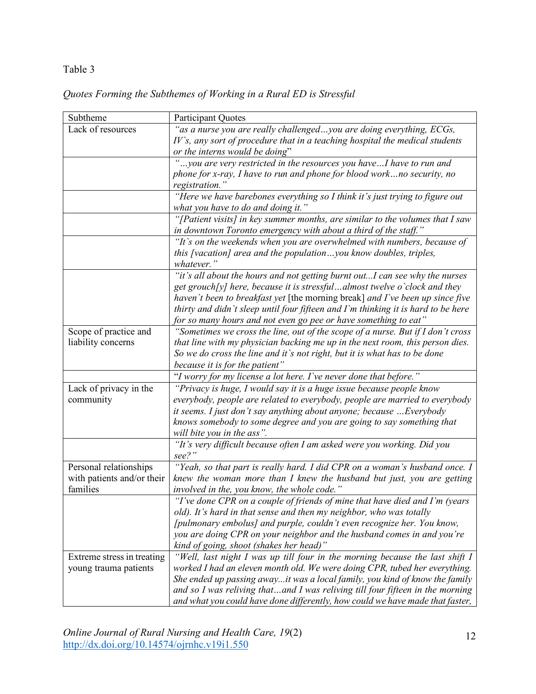# Table 3

# *Quotes Forming the Subthemes of Working in a Rural ED is Stressful*

| Subtheme                               | <b>Participant Quotes</b>                                                                                                                        |
|----------------------------------------|--------------------------------------------------------------------------------------------------------------------------------------------------|
| Lack of resources                      | "as a nurse you are really challengedyou are doing everything, ECGs,                                                                             |
|                                        | IV's, any sort of procedure that in a teaching hospital the medical students                                                                     |
|                                        | or the interns would be doing"                                                                                                                   |
|                                        | you are very restricted in the resources you haveI have to run and                                                                               |
|                                        | phone for x-ray, I have to run and phone for blood workno security, no                                                                           |
|                                        | registration."                                                                                                                                   |
|                                        | "Here we have barebones everything so I think it's just trying to figure out                                                                     |
|                                        | what you have to do and doing it."                                                                                                               |
|                                        | "[Patient visits] in key summer months, are similar to the volumes that I saw<br>in downtown Toronto emergency with about a third of the staff." |
|                                        | "It's on the weekends when you are overwhelmed with numbers, because of                                                                          |
|                                        | this [vacation] area and the populationyou know doubles, triples,                                                                                |
|                                        | whatever."                                                                                                                                       |
|                                        | "it's all about the hours and not getting burnt outI can see why the nurses                                                                      |
|                                        | get grouch[y] here, because it is stressfuldlmost twelve o'clock and they                                                                        |
|                                        | haven't been to breakfast yet [the morning break] and I've been up since five                                                                    |
|                                        | thirty and didn't sleep until four fifteen and I'm thinking it is hard to be here                                                                |
|                                        | for so many hours and not even go pee or have something to eat"                                                                                  |
| Scope of practice and                  | "Sometimes we cross the line, out of the scope of a nurse. But if I don't cross                                                                  |
| liability concerns                     | that line with my physician backing me up in the next room, this person dies.                                                                    |
|                                        | So we do cross the line and it's not right, but it is what has to be done                                                                        |
|                                        | because it is for the patient"                                                                                                                   |
|                                        | "I worry for my license a lot here. I've never done that before."                                                                                |
| Lack of privacy in the                 | "Privacy is huge, I would say it is a huge issue because people know                                                                             |
| community                              | everybody, people are related to everybody, people are married to everybody                                                                      |
|                                        | it seems. I just don't say anything about anyone; because  Everybody                                                                             |
|                                        | knows somebody to some degree and you are going to say something that                                                                            |
|                                        | will bite you in the ass".                                                                                                                       |
|                                        | "It's very difficult because often I am asked were you working. Did you                                                                          |
|                                        | see?"                                                                                                                                            |
| Personal relationships                 | "Yeah, so that part is really hard. I did CPR on a woman's husband once. I                                                                       |
| with patients and/or their<br>families | knew the woman more than I knew the husband but just, you are getting                                                                            |
|                                        | involved in the, you know, the whole code."<br>"I've done CPR on a couple of friends of mine that have died and I'm (years                       |
|                                        | old). It's hard in that sense and then my neighbor, who was totally                                                                              |
|                                        | [pulmonary embolus] and purple, couldn't even recognize her. You know,                                                                           |
|                                        | you are doing CPR on your neighbor and the husband comes in and you're                                                                           |
|                                        | kind of going, shoot (shakes her head)"                                                                                                          |
| Extreme stress in treating             | "Well, last night I was up till four in the morning because the last shift I                                                                     |
| young trauma patients                  | worked I had an eleven month old. We were doing CPR, tubed her everything.                                                                       |
|                                        | She ended up passing awayit was a local family, you kind of know the family                                                                      |
|                                        | and so I was reliving thatand I was reliving till four fifteen in the morning                                                                    |
|                                        | and what you could have done differently, how could we have made that faster,                                                                    |

*Online Journal of Rural Nursing and Health Care, 19*(2) http://dx.doi.org/10.14574/ojrnhc.v19i1.550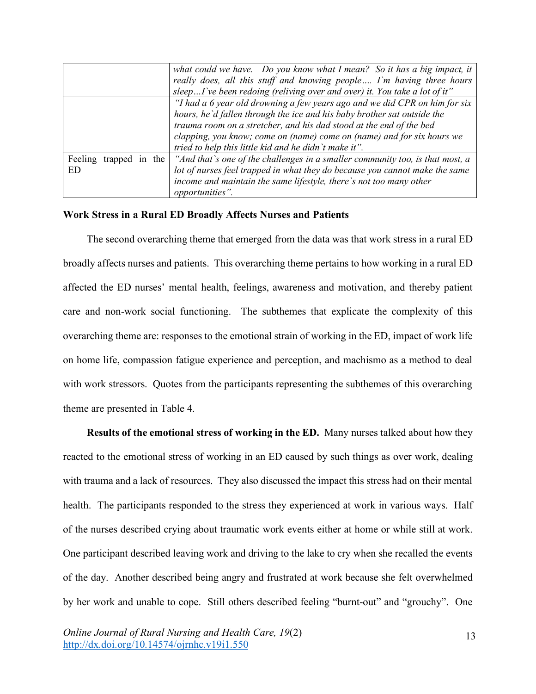|                        | what could we have. Do you know what I mean? So it has a big impact, it<br>really does, all this stuff and knowing people I'm having three hours |
|------------------------|--------------------------------------------------------------------------------------------------------------------------------------------------|
|                        | sleepI've been redoing (reliving over and over) it. You take a lot of it"                                                                        |
|                        | "I had a 6 year old drowning a few years ago and we did CPR on him for six                                                                       |
|                        | hours, he'd fallen through the ice and his baby brother sat outside the                                                                          |
|                        | trauma room on a stretcher, and his dad stood at the end of the bed                                                                              |
|                        | clapping, you know; come on (name) come on (name) and for six hours we                                                                           |
|                        | tried to help this little kid and he didn't make it".                                                                                            |
| Feeling trapped in the | "And that's one of the challenges in a smaller community too, is that most, a                                                                    |
| ED                     | lot of nurses feel trapped in what they do because you cannot make the same                                                                      |
|                        | income and maintain the same lifestyle, there's not too many other                                                                               |
|                        | opportunities".                                                                                                                                  |

# **Work Stress in a Rural ED Broadly Affects Nurses and Patients**

The second overarching theme that emerged from the data was that work stress in a rural ED broadly affects nurses and patients. This overarching theme pertains to how working in a rural ED affected the ED nurses' mental health, feelings, awareness and motivation, and thereby patient care and non-work social functioning.The subthemes that explicate the complexity of this overarching theme are: responses to the emotional strain of working in the ED, impact of work life on home life, compassion fatigue experience and perception, and machismo as a method to deal with work stressors. Quotes from the participants representing the subthemes of this overarching theme are presented in Table 4.

**Results of the emotional stress of working in the ED.** Many nurses talked about how they reacted to the emotional stress of working in an ED caused by such things as over work, dealing with trauma and a lack of resources. They also discussed the impact this stress had on their mental health. The participants responded to the stress they experienced at work in various ways. Half of the nurses described crying about traumatic work events either at home or while still at work. One participant described leaving work and driving to the lake to cry when she recalled the events of the day.Another described being angry and frustrated at work because she felt overwhelmed by her work and unable to cope. Still others described feeling "burnt-out" and "grouchy". One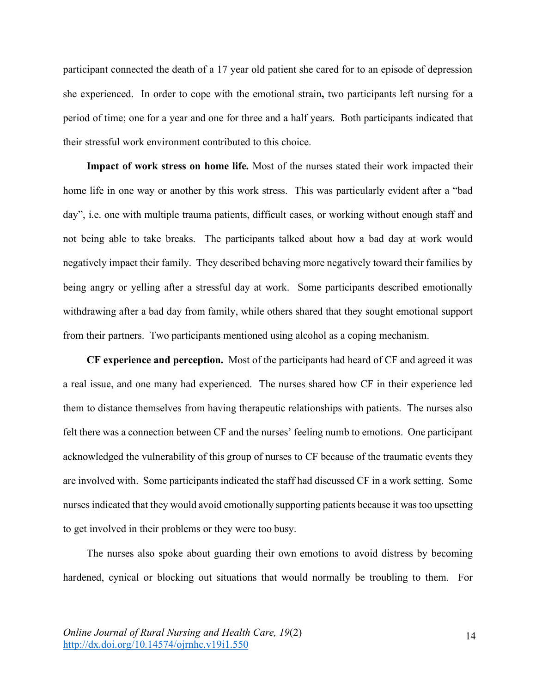participant connected the death of a 17 year old patient she cared for to an episode of depression she experienced. In order to cope with the emotional strain**,** two participants left nursing for a period of time; one for a year and one for three and a half years. Both participants indicated that their stressful work environment contributed to this choice.

**Impact of work stress on home life.** Most of the nurses stated their work impacted their home life in one way or another by this work stress. This was particularly evident after a "bad day", i.e. one with multiple trauma patients, difficult cases, or working without enough staff and not being able to take breaks. The participants talked about how a bad day at work would negatively impact their family. They described behaving more negatively toward their families by being angry or yelling after a stressful day at work. Some participants described emotionally withdrawing after a bad day from family, while others shared that they sought emotional support from their partners. Two participants mentioned using alcohol as a coping mechanism.

**CF experience and perception.** Most of the participants had heard of CF and agreed it was a real issue, and one many had experienced. The nurses shared how CF in their experience led them to distance themselves from having therapeutic relationships with patients. The nurses also felt there was a connection between CF and the nurses' feeling numb to emotions. One participant acknowledged the vulnerability of this group of nurses to CF because of the traumatic events they are involved with. Some participants indicated the staff had discussed CF in a work setting. Some nurses indicated that they would avoid emotionally supporting patients because it was too upsetting to get involved in their problems or they were too busy.

The nurses also spoke about guarding their own emotions to avoid distress by becoming hardened, cynical or blocking out situations that would normally be troubling to them. For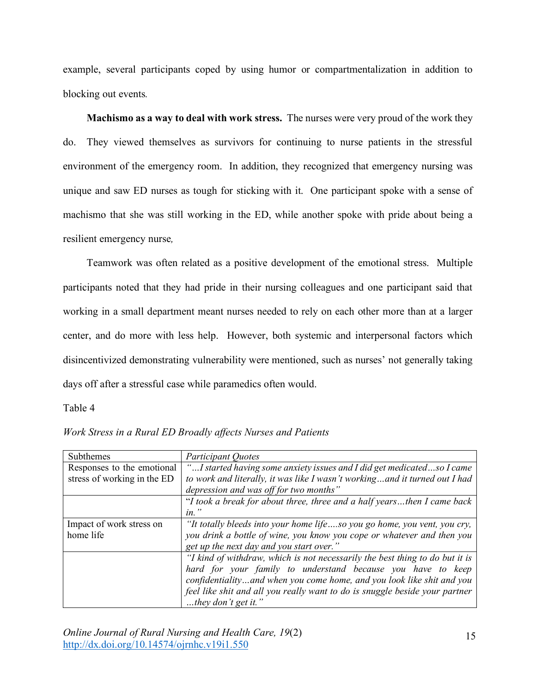example, several participants coped by using humor or compartmentalization in addition to blocking out events*.*

**Machismo as a way to deal with work stress.** The nurses were very proud of the work they do. They viewed themselves as survivors for continuing to nurse patients in the stressful environment of the emergency room. In addition, they recognized that emergency nursing was unique and saw ED nurses as tough for sticking with it. One participant spoke with a sense of machismo that she was still working in the ED, while another spoke with pride about being a resilient emergency nurse*,*

Teamwork was often related as a positive development of the emotional stress. Multiple participants noted that they had pride in their nursing colleagues and one participant said that working in a small department meant nurses needed to rely on each other more than at a larger center, and do more with less help. However, both systemic and interpersonal factors which disincentivized demonstrating vulnerability were mentioned, such as nurses' not generally taking days off after a stressful case while paramedics often would.

Table 4

| Subthemes                   | <b>Participant Quotes</b>                                                    |
|-----------------------------|------------------------------------------------------------------------------|
| Responses to the emotional  | "I started having some anxiety issues and I did get medicatedso I came       |
| stress of working in the ED | to work and literally, it was like I wasn't workingand it turned out I had   |
|                             | depression and was off for two months"                                       |
|                             | "I took a break for about three, three and a half yearsthen I came back      |
|                             | $in.$ "                                                                      |
| Impact of work stress on    | "It totally bleeds into your home lifeso you go home, you vent, you cry,     |
| home life                   | you drink a bottle of wine, you know you cope or whatever and then you       |
|                             | get up the next day and you start over."                                     |
|                             | "I kind of withdraw, which is not necessarily the best thing to do but it is |
|                             | hard for your family to understand because you have to keep                  |
|                             | confidentialityand when you come home, and you look like shit and you        |
|                             | feel like shit and all you really want to do is snuggle beside your partner  |
|                             | they don't get it."                                                          |

*Work Stress in a Rural ED Broadly affects Nurses and Patients*

*Online Journal of Rural Nursing and Health Care, 19*(2) http://dx.doi.org/10.14574/ojrnhc.v19i1.550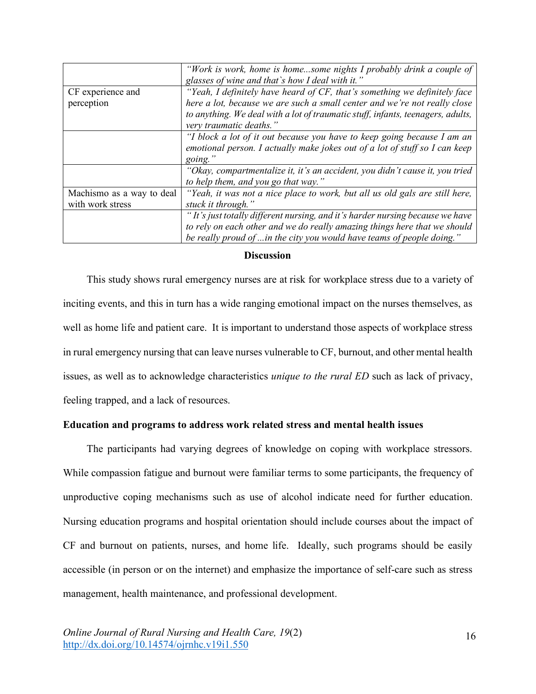|                           | "Work is work, home is homesome nights I probably drink a couple of<br>glasses of wine and that's how I deal with it." |
|---------------------------|------------------------------------------------------------------------------------------------------------------------|
| CF experience and         | "Yeah, I definitely have heard of CF, that's something we definitely face                                              |
| perception                | here a lot, because we are such a small center and we're not really close                                              |
|                           | to anything. We deal with a lot of traumatic stuff, infants, teenagers, adults,                                        |
|                           | very traumatic deaths."                                                                                                |
|                           | "I block a lot of it out because you have to keep going because I am an                                                |
|                           | emotional person. I actually make jokes out of a lot of stuff so I can keep                                            |
|                           | going.'                                                                                                                |
|                           | "Okay, compartmentalize it, it's an accident, you didn't cause it, you tried                                           |
|                           | to help them, and you go that way."                                                                                    |
| Machismo as a way to deal | "Yeah, it was not a nice place to work, but all us old gals are still here,                                            |
| with work stress          | stuck it through."                                                                                                     |
|                           | "It's just totally different nursing, and it's harder nursing because we have                                          |
|                           | to rely on each other and we do really amazing things here that we should                                              |
|                           | be really proud of  in the city you would have teams of people doing."                                                 |

## **Discussion**

This study shows rural emergency nurses are at risk for workplace stress due to a variety of inciting events, and this in turn has a wide ranging emotional impact on the nurses themselves, as well as home life and patient care. It is important to understand those aspects of workplace stress in rural emergency nursing that can leave nurses vulnerable to CF, burnout, and other mental health issues, as well as to acknowledge characteristics *unique to the rural ED* such as lack of privacy, feeling trapped, and a lack of resources.

# **Education and programs to address work related stress and mental health issues**

The participants had varying degrees of knowledge on coping with workplace stressors. While compassion fatigue and burnout were familiar terms to some participants, the frequency of unproductive coping mechanisms such as use of alcohol indicate need for further education. Nursing education programs and hospital orientation should include courses about the impact of CF and burnout on patients, nurses, and home life. Ideally, such programs should be easily accessible (in person or on the internet) and emphasize the importance of self-care such as stress management, health maintenance, and professional development.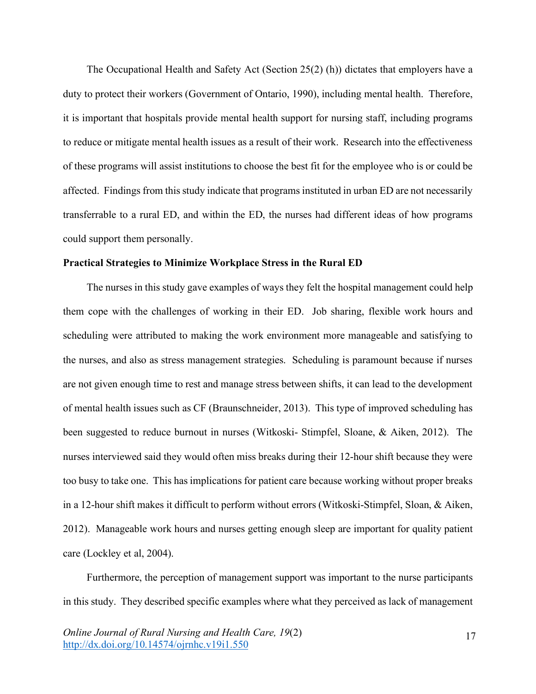The Occupational Health and Safety Act (Section 25(2) (h)) dictates that employers have a duty to protect their workers (Government of Ontario, 1990), including mental health. Therefore, it is important that hospitals provide mental health support for nursing staff, including programs to reduce or mitigate mental health issues as a result of their work. Research into the effectiveness of these programs will assist institutions to choose the best fit for the employee who is or could be affected. Findings from this study indicate that programs instituted in urban ED are not necessarily transferrable to a rural ED, and within the ED, the nurses had different ideas of how programs could support them personally.

# **Practical Strategies to Minimize Workplace Stress in the Rural ED**

The nurses in this study gave examples of ways they felt the hospital management could help them cope with the challenges of working in their ED. Job sharing, flexible work hours and scheduling were attributed to making the work environment more manageable and satisfying to the nurses, and also as stress management strategies. Scheduling is paramount because if nurses are not given enough time to rest and manage stress between shifts, it can lead to the development of mental health issues such as CF (Braunschneider, 2013). This type of improved scheduling has been suggested to reduce burnout in nurses (Witkoski- Stimpfel, Sloane, & Aiken, 2012). The nurses interviewed said they would often miss breaks during their 12-hour shift because they were too busy to take one. This has implications for patient care because working without proper breaks in a 12-hour shift makes it difficult to perform without errors (Witkoski-Stimpfel, Sloan, & Aiken, 2012). Manageable work hours and nurses getting enough sleep are important for quality patient care (Lockley et al, 2004).

Furthermore, the perception of management support was important to the nurse participants in this study. They described specific examples where what they perceived as lack of management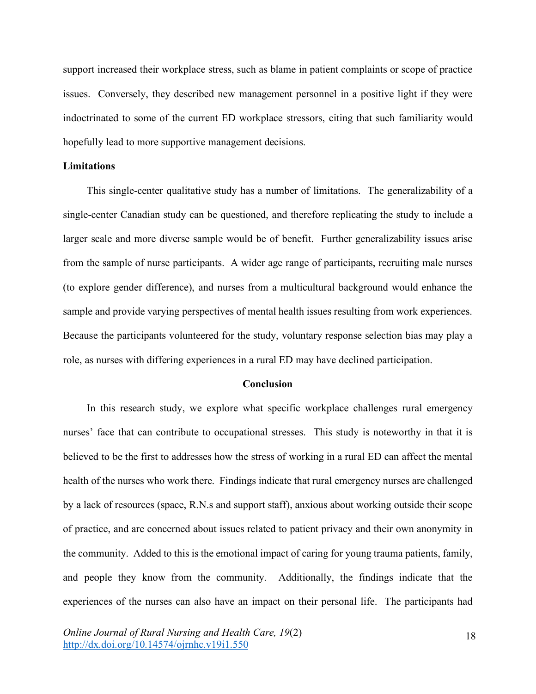support increased their workplace stress, such as blame in patient complaints or scope of practice issues. Conversely, they described new management personnel in a positive light if they were indoctrinated to some of the current ED workplace stressors, citing that such familiarity would hopefully lead to more supportive management decisions.

# **Limitations**

This single-center qualitative study has a number of limitations. The generalizability of a single-center Canadian study can be questioned, and therefore replicating the study to include a larger scale and more diverse sample would be of benefit. Further generalizability issues arise from the sample of nurse participants. A wider age range of participants, recruiting male nurses (to explore gender difference), and nurses from a multicultural background would enhance the sample and provide varying perspectives of mental health issues resulting from work experiences. Because the participants volunteered for the study, voluntary response selection bias may play a role, as nurses with differing experiences in a rural ED may have declined participation.

#### **Conclusion**

In this research study, we explore what specific workplace challenges rural emergency nurses' face that can contribute to occupational stresses. This study is noteworthy in that it is believed to be the first to addresses how the stress of working in a rural ED can affect the mental health of the nurses who work there. Findings indicate that rural emergency nurses are challenged by a lack of resources (space, R.N.s and support staff), anxious about working outside their scope of practice, and are concerned about issues related to patient privacy and their own anonymity in the community. Added to this is the emotional impact of caring for young trauma patients, family, and people they know from the community. Additionally, the findings indicate that the experiences of the nurses can also have an impact on their personal life. The participants had

*Online Journal of Rural Nursing and Health Care, 19*(2) http://dx.doi.org/10.14574/ojrnhc.v19i1.550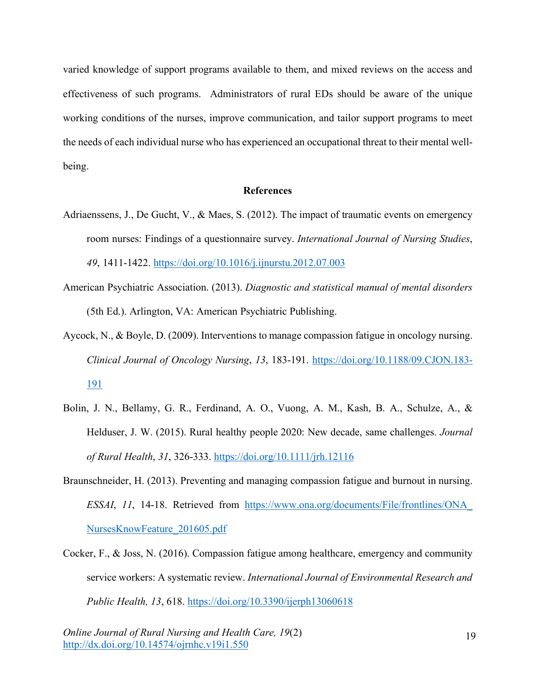varied knowledge of support programs available to them, and mixed reviews on the access and effectiveness of such programs. Administrators of rural EDs should be aware of the unique working conditions of the nurses, improve communication, and tailor support programs to meet the needs of each individual nurse who has experienced an occupational threat to their mental wellbeing.

## **References**

- Adriaenssens, J., De Gucht, V., & Maes, S. (2012). The impact of traumatic events on emergency room nurses: Findings of a questionnaire survey. *International Journal of Nursing Studies*, *49*, 1411-1422. https://doi.org/10.1016/j.ijnurstu.2012.07.003
- American Psychiatric Association. (2013). *Diagnostic and statistical manual of mental disorders* (5th Ed.). Arlington, VA: American Psychiatric Publishing.
- Aycock, N., & Boyle, D. (2009). Interventions to manage compassion fatigue in oncology nursing. *Clinical Journal of Oncology Nursing*, *13*, 183-191. https://doi.org/10.1188/09.CJON.183- 191
- Bolin, J. N., Bellamy, G. R., Ferdinand, A. O., Vuong, A. M., Kash, B. A., Schulze, A., & Helduser, J. W. (2015). Rural healthy people 2020: New decade, same challenges. *Journal of Rural Health*, *31*, 326-333. https://doi.org/10.1111/jrh.12116
- Braunschneider, H. (2013). Preventing and managing compassion fatigue and burnout in nursing. *ESSAI*, *11*, 14-18. Retrieved from https://www.ona.org/documents/File/frontlines/ONA\_ NursesKnowFeature\_201605.pdf
- Cocker, F., & Joss, N. (2016). Compassion fatigue among healthcare, emergency and community service workers: A systematic review. *International Journal of Environmental Research and Public Health, 13*, 618. https://doi.org/10.3390/ijerph13060618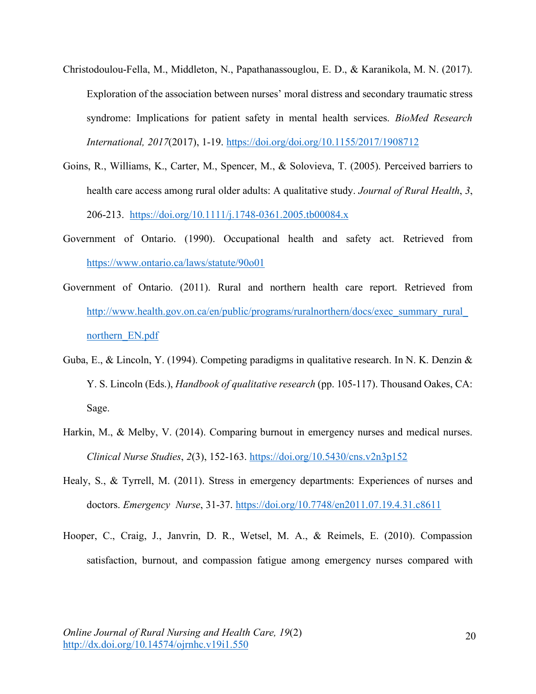- Christodoulou-Fella, M., Middleton, N., Papathanassouglou, E. D., & Karanikola, M. N. (2017). Exploration of the association between nurses' moral distress and secondary traumatic stress syndrome: Implications for patient safety in mental health services. *BioMed Research International, 2017*(2017), 1-19. https://doi.org/doi.org/10.1155/2017/1908712
- Goins, R., Williams, K., Carter, M., Spencer, M., & Solovieva, T. (2005). Perceived barriers to health care access among rural older adults: A qualitative study. *Journal of Rural Health*, *3*, 206-213. https://doi.org/10.1111/j.1748-0361.2005.tb00084.x
- Government of Ontario. (1990). Occupational health and safety act. Retrieved from https://www.ontario.ca/laws/statute/90o01
- Government of Ontario. (2011). Rural and northern health care report. Retrieved from http://www.health.gov.on.ca/en/public/programs/ruralnorthern/docs/exec\_summary\_rural\_ northern\_EN.pdf
- Guba, E., & Lincoln, Y. (1994). Competing paradigms in qualitative research. In N. K. Denzin & Y. S. Lincoln (Eds.), *Handbook of qualitative research* (pp. 105-117). Thousand Oakes, CA: Sage.
- Harkin, M., & Melby, V. (2014). Comparing burnout in emergency nurses and medical nurses. *Clinical Nurse Studies*, *2*(3), 152-163. https://doi.org/10.5430/cns.v2n3p152
- Healy, S., & Tyrrell, M. (2011). Stress in emergency departments: Experiences of nurses and doctors. *Emergency Nurse*, 31-37. https://doi.org/10.7748/en2011.07.19.4.31.c8611
- Hooper, C., Craig, J., Janvrin, D. R., Wetsel, M. A., & Reimels, E. (2010). Compassion satisfaction, burnout, and compassion fatigue among emergency nurses compared with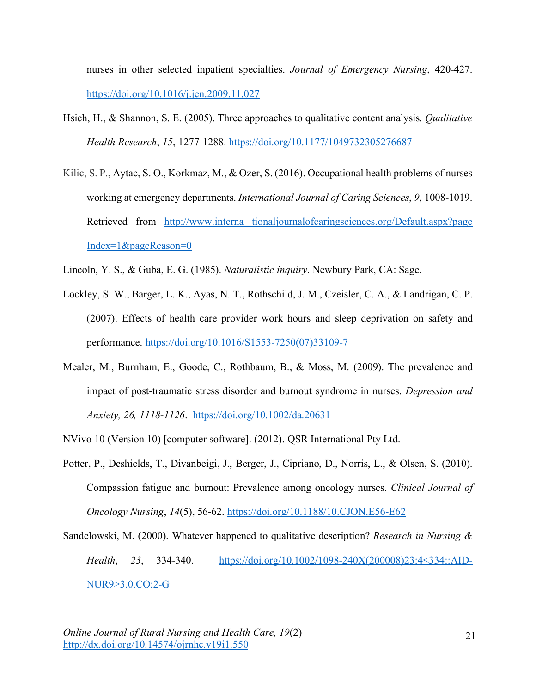nurses in other selected inpatient specialties. *Journal of Emergency Nursing*, 420-427. https://doi.org/10.1016/j.jen.2009.11.027

- Hsieh, H., & Shannon, S. E. (2005). Three approaches to qualitative content analysis. *Qualitative Health Research*, *15*, 1277-1288. https://doi.org/10.1177/1049732305276687
- Kilic, S. P., Aytac, S. O., Korkmaz, M., & Ozer, S. (2016). Occupational health problems of nurses working at emergency departments. *International Journal of Caring Sciences*, *9*, 1008-1019. Retrieved from http://www.interna tionaljournalofcaringsciences.org/Default.aspx?page Index=1&pageReason=0
- Lincoln, Y. S., & Guba, E. G. (1985). *Naturalistic inquiry*. Newbury Park, CA: Sage.
- Lockley, S. W., Barger, L. K., Ayas, N. T., Rothschild, J. M., Czeisler, C. A., & Landrigan, C. P. (2007). Effects of health care provider work hours and sleep deprivation on safety and performance. https://doi.org/10.1016/S1553-7250(07)33109-7
- Mealer, M., Burnham, E., Goode, C., Rothbaum, B., & Moss, M. (2009). The prevalence and impact of post-traumatic stress disorder and burnout syndrome in nurses. *Depression and Anxiety, 26, 1118-1126*. https://doi.org/10.1002/da.20631
- NVivo 10 (Version 10) [computer software]. (2012). QSR International Pty Ltd.
- Potter, P., Deshields, T., Divanbeigi, J., Berger, J., Cipriano, D., Norris, L., & Olsen, S. (2010). Compassion fatigue and burnout: Prevalence among oncology nurses. *Clinical Journal of Oncology Nursing*, *14*(5), 56-62. https://doi.org/10.1188/10.CJON.E56-E62
- Sandelowski, M. (2000). Whatever happened to qualitative description? *Research in Nursing & Health*, *23*, 334-340. https://doi.org/10.1002/1098-240X(200008)23:4<334::AID-NUR9>3.0.CO;2-G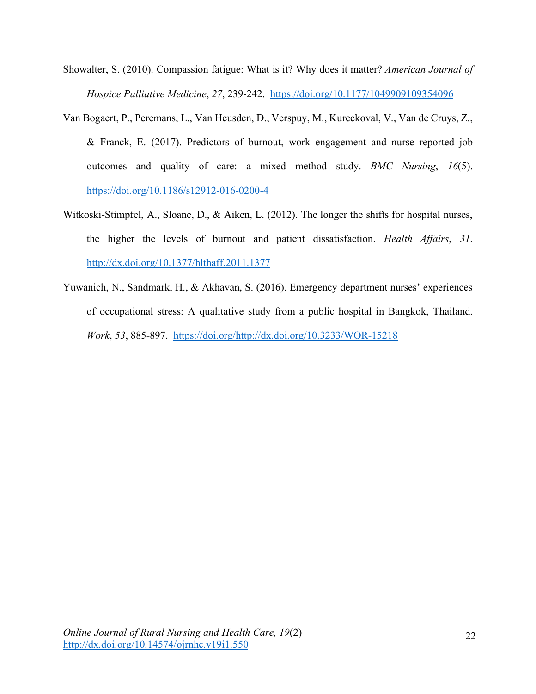- Showalter, S. (2010). Compassion fatigue: What is it? Why does it matter? *American Journal of Hospice Palliative Medicine*, *27*, 239-242. https://doi.org/10.1177/1049909109354096
- Van Bogaert, P., Peremans, L., Van Heusden, D., Verspuy, M., Kureckoval, V., Van de Cruys, Z., & Franck, E. (2017). Predictors of burnout, work engagement and nurse reported job outcomes and quality of care: a mixed method study. *BMC Nursing*, *16*(5). https://doi.org/10.1186/s12912-016-0200-4
- Witkoski-Stimpfel, A., Sloane, D., & Aiken, L. (2012). The longer the shifts for hospital nurses, the higher the levels of burnout and patient dissatisfaction. *Health Affairs*, *31*. http://dx.doi.org/10.1377/hlthaff.2011.1377
- Yuwanich, N., Sandmark, H., & Akhavan, S. (2016). Emergency department nurses' experiences of occupational stress: A qualitative study from a public hospital in Bangkok, Thailand. *Work*, *53*, 885-897. https://doi.org/http://dx.doi.org/10.3233/WOR-15218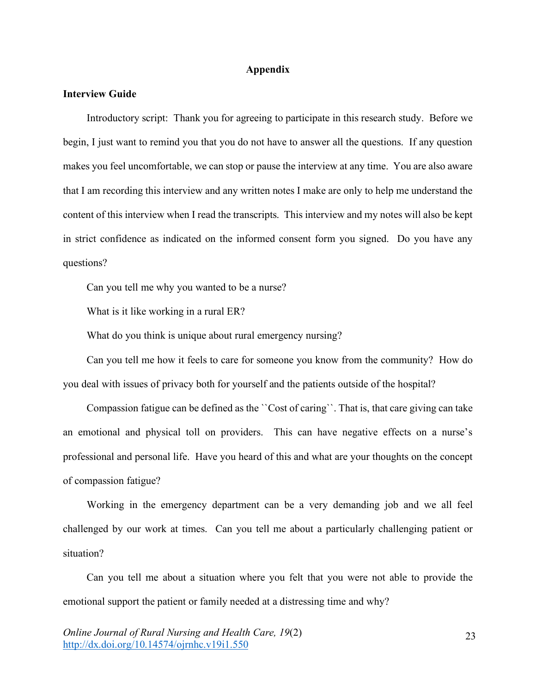#### **Appendix**

# **Interview Guide**

Introductory script: Thank you for agreeing to participate in this research study. Before we begin, I just want to remind you that you do not have to answer all the questions. If any question makes you feel uncomfortable, we can stop or pause the interview at any time. You are also aware that I am recording this interview and any written notes I make are only to help me understand the content of this interview when I read the transcripts. This interview and my notes will also be kept in strict confidence as indicated on the informed consent form you signed. Do you have any questions?

Can you tell me why you wanted to be a nurse?

What is it like working in a rural ER?

What do you think is unique about rural emergency nursing?

Can you tell me how it feels to care for someone you know from the community? How do you deal with issues of privacy both for yourself and the patients outside of the hospital?

Compassion fatigue can be defined as the ``Cost of caring``. That is, that care giving can take an emotional and physical toll on providers. This can have negative effects on a nurse's professional and personal life. Have you heard of this and what are your thoughts on the concept of compassion fatigue?

Working in the emergency department can be a very demanding job and we all feel challenged by our work at times. Can you tell me about a particularly challenging patient or situation?

Can you tell me about a situation where you felt that you were not able to provide the emotional support the patient or family needed at a distressing time and why?